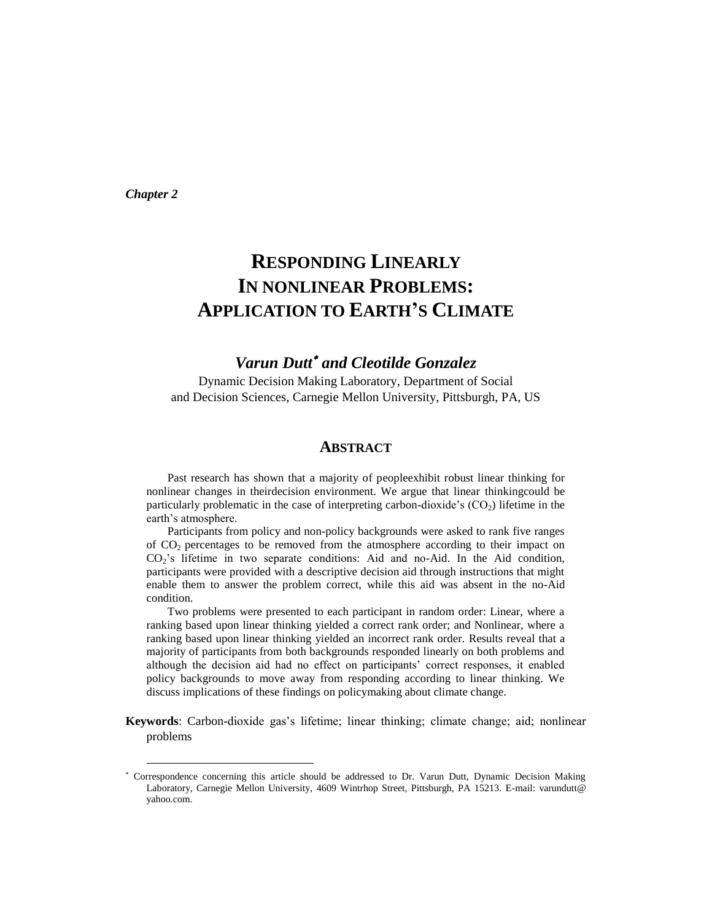*Chapter 2*

l

# **RESPONDING LINEARLY IN NONLINEAR PROBLEMS: APPLICATION TO EARTH'S CLIMATE**

# **Varun Dutt<sup>\*</sup>** and Cleotilde Gonzalez

Dynamic Decision Making Laboratory, Department of Social and Decision Sciences, Carnegie Mellon University, Pittsburgh, PA, US

# **ABSTRACT**

Past research has shown that a majority of peopleexhibit robust linear thinking for nonlinear changes in theirdecision environment. We argue that linear thinkingcould be particularly problematic in the case of interpreting carbon-dioxide's  $(CO<sub>2</sub>)$  lifetime in the earth's atmosphere.

Participants from policy and non-policy backgrounds were asked to rank five ranges of CO<sup>2</sup> percentages to be removed from the atmosphere according to their impact on  $CO<sub>2</sub>$ 's lifetime in two separate conditions: Aid and no-Aid. In the Aid condition, participants were provided with a descriptive decision aid through instructions that might enable them to answer the problem correct, while this aid was absent in the no-Aid condition.

Two problems were presented to each participant in random order: Linear, where a ranking based upon linear thinking yielded a correct rank order; and Nonlinear, where a ranking based upon linear thinking yielded an incorrect rank order. Results reveal that a majority of participants from both backgrounds responded linearly on both problems and although the decision aid had no effect on participants' correct responses, it enabled policy backgrounds to move away from responding according to linear thinking. We discuss implications of these findings on policymaking about climate change.

**Keywords**: Carbon-dioxide gas's lifetime; linear thinking; climate change; aid; nonlinear problems

Correspondence concerning this article should be addressed to Dr. Varun Dutt, Dynamic Decision Making Laboratory, Carnegie Mellon University, 4609 Wintrhop Street, Pittsburgh, PA 15213. E-mail: varundutt@ yahoo.com.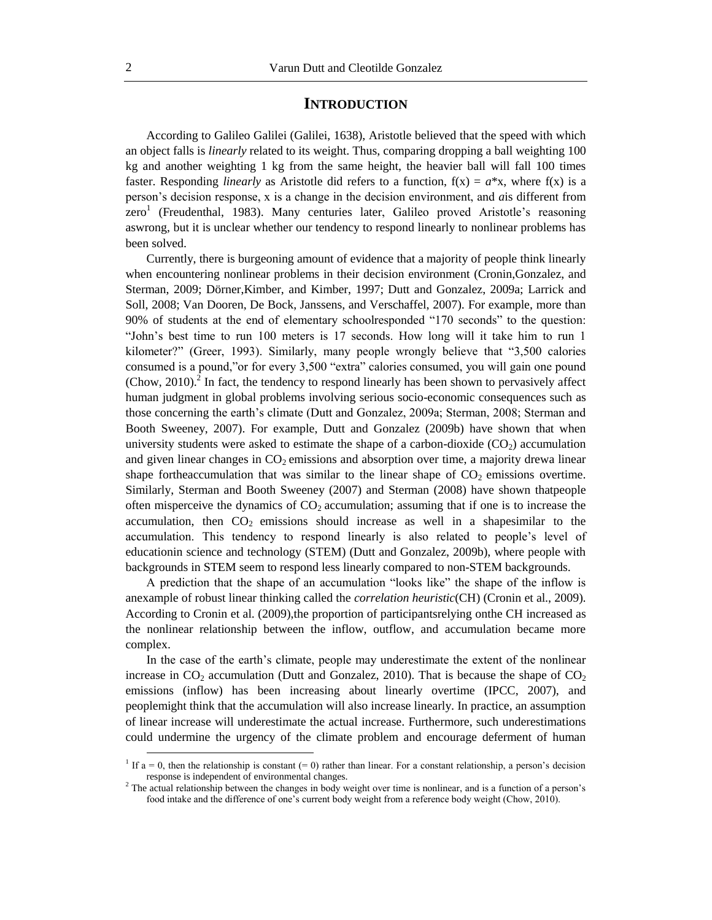## **INTRODUCTION**

According to Galileo Galilei (Galilei, 1638), Aristotle believed that the speed with which an object falls is *linearly* related to its weight. Thus, comparing dropping a ball weighting 100 kg and another weighting 1 kg from the same height, the heavier ball will fall 100 times faster. Responding *linearly* as Aristotle did refers to a function,  $f(x) = a^*x$ , where  $f(x)$  is a person's decision response, x is a change in the decision environment, and *a*is different from zero<sup>1</sup> (Freudenthal, 1983). Many centuries later, Galileo proved Aristotle's reasoning aswrong, but it is unclear whether our tendency to respond linearly to nonlinear problems has been solved.

Currently, there is burgeoning amount of evidence that a majority of people think linearly when encountering nonlinear problems in their decision environment (Cronin,Gonzalez, and Sterman, 2009; Dörner,Kimber, and Kimber, 1997; Dutt and Gonzalez, 2009a; Larrick and Soll, 2008; Van Dooren, De Bock, Janssens, and Verschaffel, 2007). For example, more than 90% of students at the end of elementary schoolresponded "170 seconds" to the question: "John's best time to run 100 meters is 17 seconds. How long will it take him to run 1 kilometer?" (Greer, 1993). Similarly, many people wrongly believe that "3,500 calories consumed is a pound,"or for every 3,500 "extra" calories consumed, you will gain one pound (Chow, 2010).<sup>2</sup> In fact, the tendency to respond linearly has been shown to pervasively affect human judgment in global problems involving serious socio-economic consequences such as those concerning the earth's climate (Dutt and Gonzalez, 2009a; Sterman, 2008; Sterman and Booth Sweeney, 2007). For example, Dutt and Gonzalez (2009b) have shown that when university students were asked to estimate the shape of a carbon-dioxide  $(CO<sub>2</sub>)$  accumulation and given linear changes in  $CO<sub>2</sub>$  emissions and absorption over time, a majority drewa linear shape fortheaccumulation that was similar to the linear shape of  $CO<sub>2</sub>$  emissions overtime. Similarly, Sterman and Booth Sweeney (2007) and Sterman (2008) have shown thatpeople often misperceive the dynamics of  $CO<sub>2</sub>$  accumulation; assuming that if one is to increase the accumulation, then  $CO<sub>2</sub>$  emissions should increase as well in a shapesimilar to the accumulation. This tendency to respond linearly is also related to people's level of educationin science and technology (STEM) (Dutt and Gonzalez, 2009b), where people with backgrounds in STEM seem to respond less linearly compared to non-STEM backgrounds.

A prediction that the shape of an accumulation "looks like" the shape of the inflow is anexample of robust linear thinking called the *correlation heuristic*(CH) (Cronin et al., 2009). According to Cronin et al. (2009),the proportion of participantsrelying onthe CH increased as the nonlinear relationship between the inflow, outflow, and accumulation became more complex.

In the case of the earth's climate, people may underestimate the extent of the nonlinear increase in  $CO_2$  accumulation (Dutt and Gonzalez, 2010). That is because the shape of  $CO_2$ emissions (inflow) has been increasing about linearly overtime (IPCC, 2007), and peoplemight think that the accumulation will also increase linearly. In practice, an assumption of linear increase will underestimate the actual increase. Furthermore, such underestimations could undermine the urgency of the climate problem and encourage deferment of human

 $\overline{a}$ 

<sup>&</sup>lt;sup>1</sup> If  $a = 0$ , then the relationship is constant  $(= 0)$  rather than linear. For a constant relationship, a person's decision response is independent of environmental changes.

<sup>&</sup>lt;sup>2</sup> The actual relationship between the changes in body weight over time is nonlinear, and is a function of a person's food intake and the difference of one's current body weight from a reference body weight (Chow, 2010).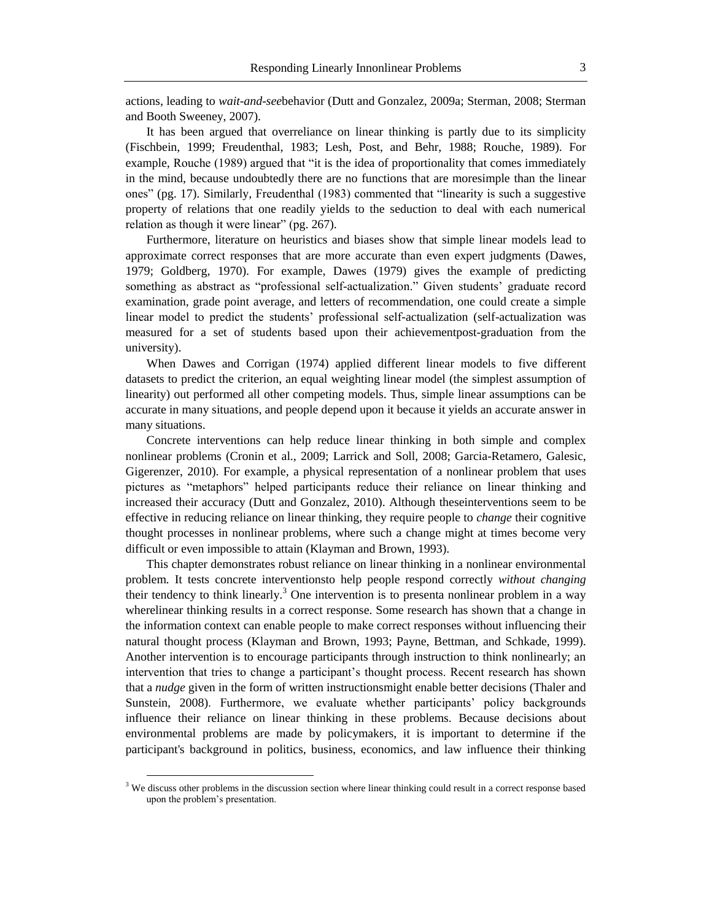actions, leading to *wait-and-see*behavior (Dutt and Gonzalez, 2009a; Sterman, 2008; Sterman and Booth Sweeney, 2007).

It has been argued that overreliance on linear thinking is partly due to its simplicity (Fischbein, 1999; Freudenthal, 1983; Lesh, Post, and Behr, 1988; Rouche, 1989). For example, Rouche (1989) argued that "it is the idea of proportionality that comes immediately in the mind, because undoubtedly there are no functions that are moresimple than the linear ones" (pg. 17). Similarly, Freudenthal (1983) commented that "linearity is such a suggestive property of relations that one readily yields to the seduction to deal with each numerical relation as though it were linear" (pg. 267).

Furthermore, literature on heuristics and biases show that simple linear models lead to approximate correct responses that are more accurate than even expert judgments (Dawes, 1979; Goldberg, 1970). For example, Dawes (1979) gives the example of predicting something as abstract as "professional self-actualization." Given students' graduate record examination, grade point average, and letters of recommendation, one could create a simple linear model to predict the students' professional self-actualization (self-actualization was measured for a set of students based upon their achievementpost-graduation from the university).

When Dawes and Corrigan (1974) applied different linear models to five different datasets to predict the criterion, an equal weighting linear model (the simplest assumption of linearity) out performed all other competing models. Thus, simple linear assumptions can be accurate in many situations, and people depend upon it because it yields an accurate answer in many situations.

Concrete interventions can help reduce linear thinking in both simple and complex nonlinear problems (Cronin et al., 2009; Larrick and Soll, 2008; Garcia-Retamero, Galesic, Gigerenzer, 2010). For example, a physical representation of a nonlinear problem that uses pictures as "metaphors" helped participants reduce their reliance on linear thinking and increased their accuracy (Dutt and Gonzalez, 2010). Although theseinterventions seem to be effective in reducing reliance on linear thinking, they require people to *change* their cognitive thought processes in nonlinear problems, where such a change might at times become very difficult or even impossible to attain (Klayman and Brown, 1993).

This chapter demonstrates robust reliance on linear thinking in a nonlinear environmental problem. It tests concrete interventionsto help people respond correctly *without changing* their tendency to think linearly.<sup>3</sup> One intervention is to presenta nonlinear problem in a way wherelinear thinking results in a correct response. Some research has shown that a change in the information context can enable people to make correct responses without influencing their natural thought process (Klayman and Brown, 1993; Payne, Bettman, and Schkade, 1999). Another intervention is to encourage participants through instruction to think nonlinearly; an intervention that tries to change a participant's thought process. Recent research has shown that a *nudge* given in the form of written instructionsmight enable better decisions (Thaler and Sunstein, 2008). Furthermore, we evaluate whether participants' policy backgrounds influence their reliance on linear thinking in these problems. Because decisions about environmental problems are made by policymakers, it is important to determine if the participant's background in politics, business, economics, and law influence their thinking

 $\overline{a}$ 

 $3$  We discuss other problems in the discussion section where linear thinking could result in a correct response based upon the problem's presentation.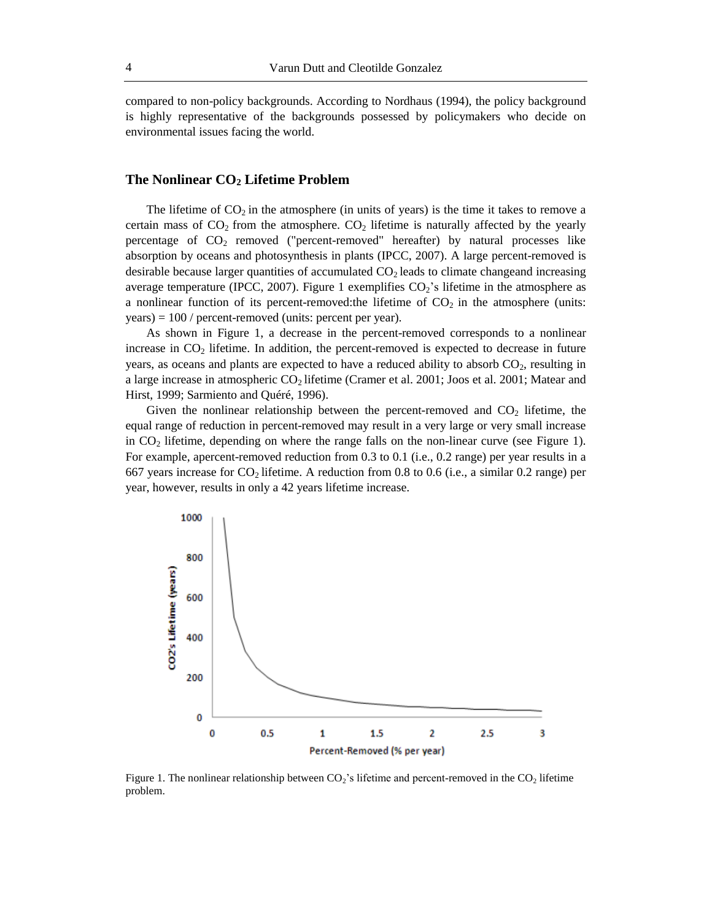compared to non-policy backgrounds. According to Nordhaus (1994), the policy background is highly representative of the backgrounds possessed by policymakers who decide on environmental issues facing the world.

## **The Nonlinear CO<sup>2</sup> Lifetime Problem**

The lifetime of  $CO<sub>2</sub>$  in the atmosphere (in units of years) is the time it takes to remove a certain mass of  $CO_2$  from the atmosphere.  $CO_2$  lifetime is naturally affected by the yearly percentage of  $CO<sub>2</sub>$  removed ("percent-removed" hereafter) by natural processes like absorption by oceans and photosynthesis in plants (IPCC, 2007). A large percent-removed is desirable because larger quantities of accumulated  $CO<sub>2</sub>$  leads to climate changeand increasing average temperature (IPCC, 2007). Figure 1 exemplifies  $CO<sub>2</sub>$ 's lifetime in the atmosphere as a nonlinear function of its percent-removed:the lifetime of  $CO<sub>2</sub>$  in the atmosphere (units: years) = 100 / percent-removed (units: percent per year).

As shown in Figure 1, a decrease in the percent-removed corresponds to a nonlinear increase in  $CO<sub>2</sub>$  lifetime. In addition, the percent-removed is expected to decrease in future years, as oceans and plants are expected to have a reduced ability to absorb  $CO<sub>2</sub>$ , resulting in a large increase in atmospheric  $CO<sub>2</sub>$  lifetime (Cramer et al. 2001; Joos et al. 2001; Matear and Hirst, 1999; Sarmiento and Quéré, 1996).

Given the nonlinear relationship between the percent-removed and  $CO<sub>2</sub>$  lifetime, the equal range of reduction in percent-removed may result in a very large or very small increase in  $CO<sub>2</sub>$  lifetime, depending on where the range falls on the non-linear curve (see Figure 1). For example, apercent-removed reduction from 0.3 to 0.1 (i.e., 0.2 range) per year results in a 667 years increase for  $CO<sub>2</sub>$  lifetime. A reduction from 0.8 to 0.6 (i.e., a similar 0.2 range) per year, however, results in only a 42 years lifetime increase.



Figure 1. The nonlinear relationship between  $CO_2$ 's lifetime and percent-removed in the  $CO_2$  lifetime problem.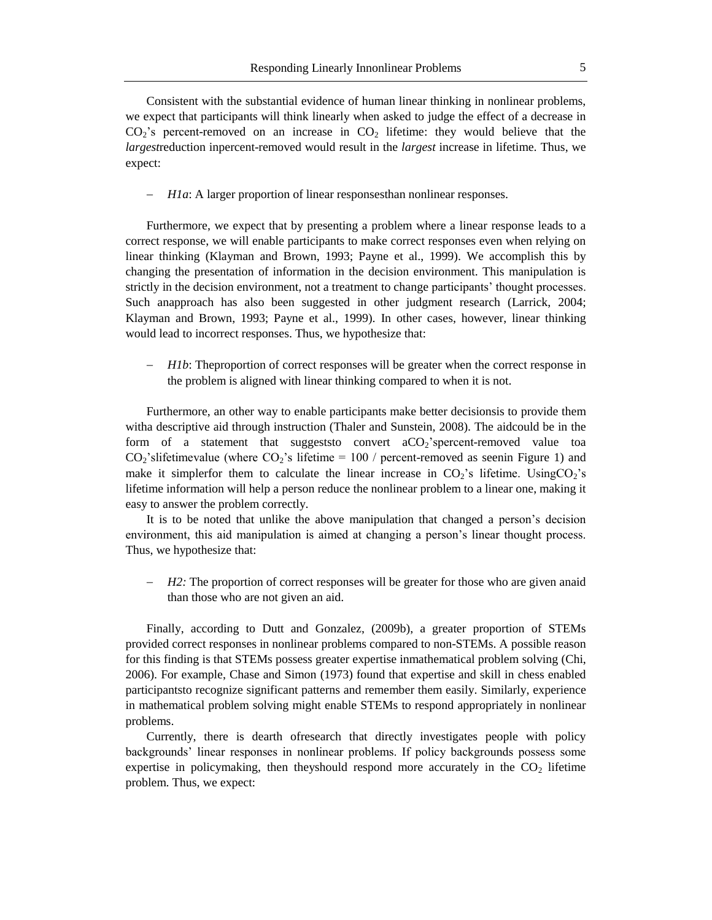Consistent with the substantial evidence of human linear thinking in nonlinear problems, we expect that participants will think linearly when asked to judge the effect of a decrease in  $CO<sub>2</sub>$ 's percent-removed on an increase in  $CO<sub>2</sub>$  lifetime: they would believe that the *largest*reduction inpercent-removed would result in the *largest* increase in lifetime. Thus, we expect:

*H1a*: A larger proportion of linear responses than nonlinear responses.

Furthermore, we expect that by presenting a problem where a linear response leads to a correct response, we will enable participants to make correct responses even when relying on linear thinking (Klayman and Brown, 1993; Payne et al., 1999). We accomplish this by changing the presentation of information in the decision environment. This manipulation is strictly in the decision environment, not a treatment to change participants' thought processes. Such anapproach has also been suggested in other judgment research (Larrick, 2004; Klayman and Brown, 1993; Payne et al., 1999). In other cases, however, linear thinking would lead to incorrect responses. Thus, we hypothesize that:

*H1b*: Theproportion of correct responses will be greater when the correct response in the problem is aligned with linear thinking compared to when it is not.

Furthermore, an other way to enable participants make better decisionsis to provide them witha descriptive aid through instruction (Thaler and Sunstein, 2008). The aidcould be in the form of a statement that suggests convert  $aCO<sub>2</sub>$ 'spercent-removed value toa  $CO<sub>2</sub>$ 'slifetimevalue (where  $CO<sub>2</sub>$ 's lifetime = 100 / percent-removed as seenin Figure 1) and make it simplerfor them to calculate the linear increase in  $CO<sub>2</sub>$ 's lifetime. Using $CO<sub>2</sub>$ 's lifetime information will help a person reduce the nonlinear problem to a linear one, making it easy to answer the problem correctly.

It is to be noted that unlike the above manipulation that changed a person's decision environment, this aid manipulation is aimed at changing a person's linear thought process. Thus, we hypothesize that:

 *H2:* The proportion of correct responses will be greater for those who are given anaid than those who are not given an aid.

Finally, according to Dutt and Gonzalez, (2009b), a greater proportion of STEMs provided correct responses in nonlinear problems compared to non-STEMs. A possible reason for this finding is that STEMs possess greater expertise inmathematical problem solving (Chi, 2006). For example, Chase and Simon (1973) found that expertise and skill in chess enabled participantsto recognize significant patterns and remember them easily. Similarly, experience in mathematical problem solving might enable STEMs to respond appropriately in nonlinear problems.

Currently, there is dearth ofresearch that directly investigates people with policy backgrounds' linear responses in nonlinear problems. If policy backgrounds possess some expertise in policymaking, then theyshould respond more accurately in the  $CO<sub>2</sub>$  lifetime problem. Thus, we expect: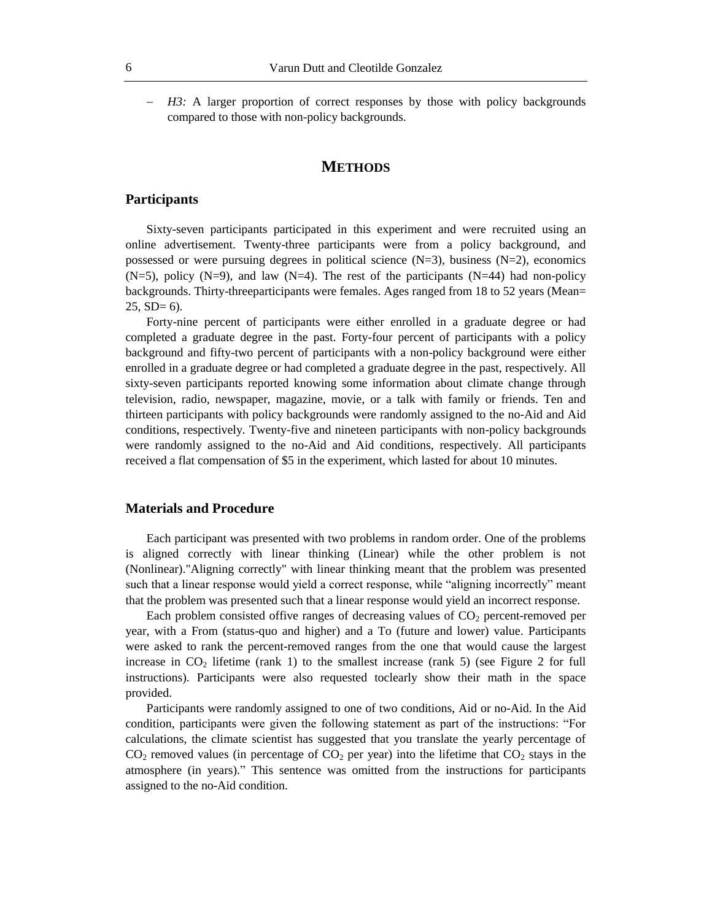*H3:* A larger proportion of correct responses by those with policy backgrounds compared to those with non-policy backgrounds.

# **METHODS**

#### **Participants**

Sixty-seven participants participated in this experiment and were recruited using an online advertisement. Twenty-three participants were from a policy background, and possessed or were pursuing degrees in political science  $(N=3)$ , business  $(N=2)$ , economics  $(N=5)$ , policy  $(N=9)$ , and law  $(N=4)$ . The rest of the participants  $(N=44)$  had non-policy backgrounds. Thirty-threeparticipants were females. Ages ranged from 18 to 52 years (Mean=  $25$ ,  $SD = 6$ ).

Forty-nine percent of participants were either enrolled in a graduate degree or had completed a graduate degree in the past. Forty-four percent of participants with a policy background and fifty-two percent of participants with a non-policy background were either enrolled in a graduate degree or had completed a graduate degree in the past, respectively. All sixty-seven participants reported knowing some information about climate change through television, radio, newspaper, magazine, movie, or a talk with family or friends. Ten and thirteen participants with policy backgrounds were randomly assigned to the no-Aid and Aid conditions, respectively. Twenty-five and nineteen participants with non-policy backgrounds were randomly assigned to the no-Aid and Aid conditions, respectively. All participants received a flat compensation of \$5 in the experiment, which lasted for about 10 minutes.

#### **Materials and Procedure**

Each participant was presented with two problems in random order. One of the problems is aligned correctly with linear thinking (Linear) while the other problem is not (Nonlinear)."Aligning correctly" with linear thinking meant that the problem was presented such that a linear response would yield a correct response, while "aligning incorrectly" meant that the problem was presented such that a linear response would yield an incorrect response.

Each problem consisted offive ranges of decreasing values of  $CO<sub>2</sub>$  percent-removed per year, with a From (status-quo and higher) and a To (future and lower) value. Participants were asked to rank the percent-removed ranges from the one that would cause the largest increase in  $CO<sub>2</sub>$  lifetime (rank 1) to the smallest increase (rank 5) (see Figure 2 for full instructions). Participants were also requested toclearly show their math in the space provided.

Participants were randomly assigned to one of two conditions, Aid or no-Aid. In the Aid condition, participants were given the following statement as part of the instructions: "For calculations, the climate scientist has suggested that you translate the yearly percentage of  $CO<sub>2</sub>$  removed values (in percentage of  $CO<sub>2</sub>$  per year) into the lifetime that  $CO<sub>2</sub>$  stays in the atmosphere (in years)." This sentence was omitted from the instructions for participants assigned to the no-Aid condition.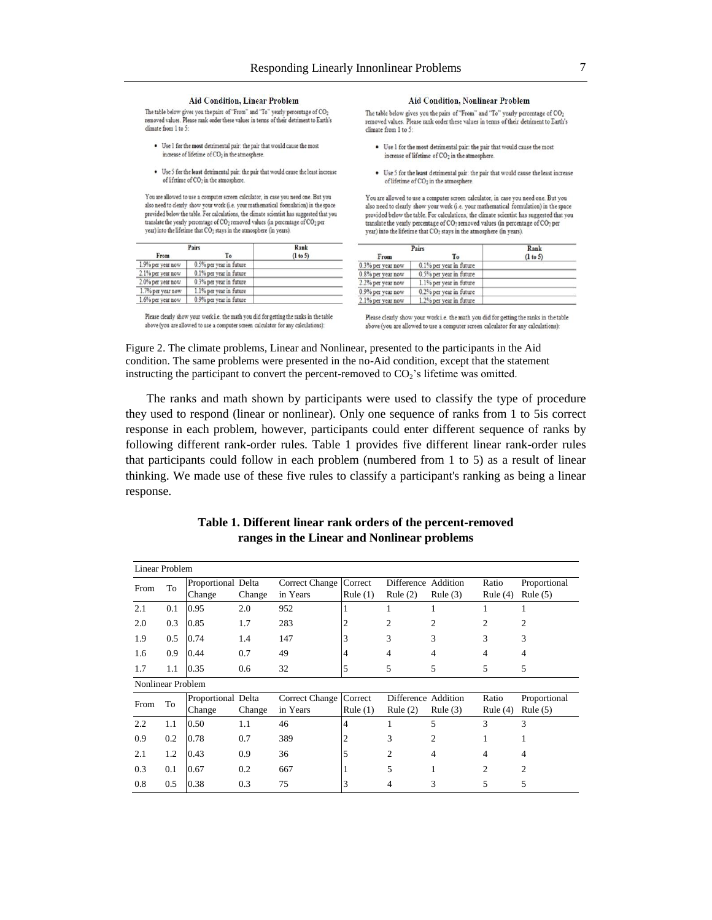#### **Aid Condition, Linear Problem**

The table below gives you the pairs of "From" and "To" yearly percentage of CO<sub>2</sub> removed values. Please rank order these values in terms of their detriment to Earth's climate from 1 to 5:

- . Use 1 for the most detrimental pair: the pair that would cause the most increase of lifetime of  $CO<sub>2</sub>$  in the atmosphere.
- · Use 5 for the least detrimental pair: the pair that would cause the least increase of lifetime of CO<sub>2</sub> in the atmosphere.

You are allowed to use a computer screen calculator, in case you need one. But you also need to clearly show your work (i.e. your mathematical formulation) in the space provided below the table. For calculations, the climate scientist has suggested that you translate the yearly percentage of CO<sub>2</sub> removed values (in percentage of CO<sub>2</sub> per year) into the lifetime that CO<sub>2</sub> stays in the atmosphere (in years).

|                   | Pairs                   | Rank     |
|-------------------|-------------------------|----------|
| From              | Тo                      | (1 to 5) |
| 1.9% per year now | 0.5% per year in future |          |
| 2.1% per year now | 0.1% per year in future |          |
| 2.0% per year now | 0.3% per year in future |          |
| 1.7% per year now | 1.1% per year in future |          |
| 1.6% per year now | 0.9% per year in future |          |

Please clearly show your work i.e. the math you did for getting the ranks in the table above (you are allowed to use a computer screen calculator for any calculations):

#### **Aid Condition, Nonlinear Problem**

The table below gives you the pairs of "From" and "To" yearly percentage of CO<sub>2</sub> removed values. Please rank order these values in terms of their detriment to Earth's climate from 1 to 5:

- Use 1 for the most detrimental pair: the pair that would cause the most increase of lifetime of CO<sub>2</sub> in the atmosphere.
- · Use 5 for the least detrimental pair: the pair that would cause the least increase of lifetime of CO<sub>2</sub> in the atmosphere.

You are allowed to use a computer screen calculator, in case you need one. But you also need to clearly show your work (i.e. your mathematical formulation) in the space provided below the table. For calculations, the climate scientist has suggested that you translate the yearly percentage of CO<sub>2</sub> removed values (in percentage of CO<sub>2</sub> per year) into the lifetime that CO<sub>2</sub> stays in the atmosphere (in years).

|                   | Pairs                   | Rank       |  |  |
|-------------------|-------------------------|------------|--|--|
| From              | To                      | $(l$ to 5) |  |  |
| 0.3% per year now | 0.1% per year in future |            |  |  |
| 0.8% per year now | 0.5% per year in future |            |  |  |
| 2.2% per year now | 1.1% per year in future |            |  |  |
| 0.9% per year now | 0.2% per year in future |            |  |  |
| 2.1% per year now | 1.2% per year in future |            |  |  |

Please clearly show your work i.e. the math you did for getting the ranks in the table above (you are allowed to use a computer screen calculator for any calculations):

Figure 2. The climate problems, Linear and Nonlinear, presented to the participants in the Aid condition. The same problems were presented in the no-Aid condition, except that the statement instructing the participant to convert the percent-removed to  $CO<sub>2</sub>$ 's lifetime was omitted.

The ranks and math shown by participants were used to classify the type of procedure they used to respond (linear or nonlinear). Only one sequence of ranks from 1 to 5is correct response in each problem, however, participants could enter different sequence of ranks by following different rank-order rules. Table 1 provides five different linear rank-order rules that participants could follow in each problem (numbered from 1 to 5) as a result of linear thinking. We made use of these five rules to classify a participant's ranking as being a linear response.

### **Table 1. Different linear rank orders of the percent-removed ranges in the Linear and Nonlinear problems**

| Linear Problem           |     |                    |        |                          |                |                     |                |                |                |
|--------------------------|-----|--------------------|--------|--------------------------|----------------|---------------------|----------------|----------------|----------------|
| From                     | To  | Proportional Delta |        | Correct Change   Correct |                | Difference Addition |                | Ratio          | Proportional   |
|                          |     | Change             | Change | in Years                 | Rule $(1)$     | Rule $(2)$          | Rule $(3)$     | Rule $(4)$     | Rule $(5)$     |
| 2.1                      | 0.1 | 0.95               | 2.0    | 952                      |                |                     | 1              |                | 1              |
| 2.0                      | 0.3 | 0.85               | 1.7    | 283                      | 2              | 2                   | 2              | $\overline{c}$ | 2              |
| 1.9                      | 0.5 | 0.74               | 1.4    | 147                      | 3              | 3                   | 3              | 3              | 3              |
| 1.6                      | 0.9 | 0.44               | 0.7    | 49                       | 4              | 4                   | 4              | 4              | 4              |
| 1.7                      | 1.1 | 0.35               | 0.6    | 32                       | 5              | 5                   | 5              | 5              | 5              |
| <b>Nonlinear Problem</b> |     |                    |        |                          |                |                     |                |                |                |
| From                     | To  | Proportional Delta |        | Correct Change   Correct |                | Difference Addition |                | Ratio          | Proportional   |
|                          |     | Change             | Change | in Years                 | Rule (1)       | Rule $(2)$          | Rule $(3)$     | Rule $(4)$     | Rule $(5)$     |
| 2.2                      | 1.1 | 0.50               | 1.1    | 46                       | $\overline{4}$ |                     | 5              | 3              | 3              |
| 0.9                      | 0.2 | 0.78               | 0.7    | 389                      | 2              | 3                   | $\overline{c}$ |                | 1              |
| 2.1                      | 1.2 | 0.43               | 0.9    | 36                       | 5              | 2                   | $\overline{4}$ | 4              | 4              |
| 0.3                      | 0.1 | 0.67               | 0.2    | 667                      |                | 5                   | 1              | $\mathfrak{D}$ | $\overline{c}$ |
| 0.8                      | 0.5 | 0.38               | 0.3    | 75                       | 3              | 4                   | 3              | 5              | 5              |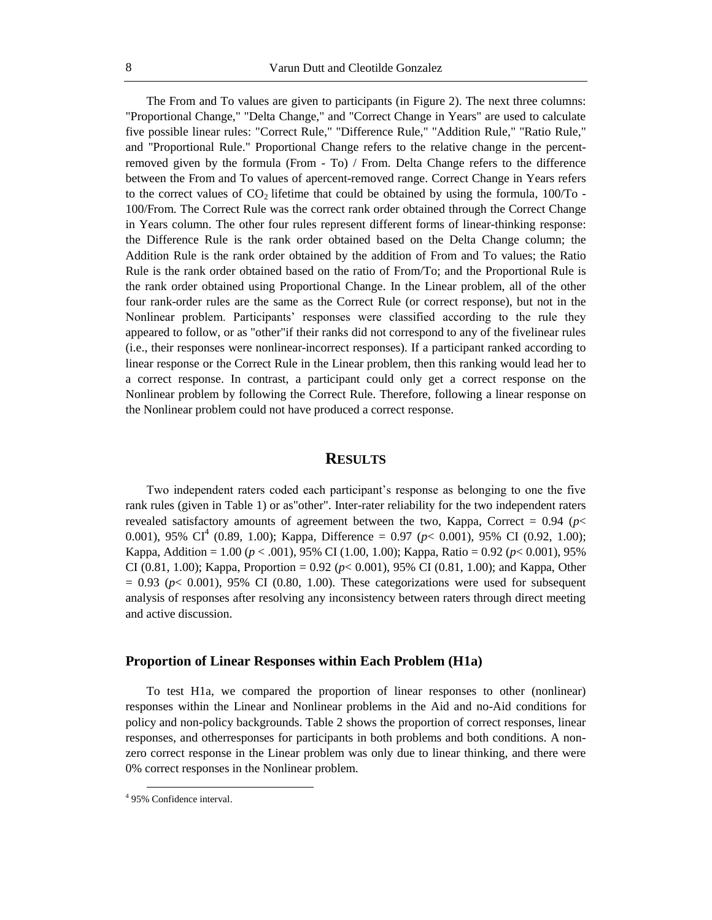The From and To values are given to participants (in Figure 2). The next three columns: "Proportional Change," "Delta Change," and "Correct Change in Years" are used to calculate five possible linear rules: "Correct Rule," "Difference Rule," "Addition Rule," "Ratio Rule," and "Proportional Rule." Proportional Change refers to the relative change in the percentremoved given by the formula (From - To) / From. Delta Change refers to the difference between the From and To values of apercent-removed range. Correct Change in Years refers to the correct values of  $CO<sub>2</sub>$  lifetime that could be obtained by using the formula, 100/To -100/From. The Correct Rule was the correct rank order obtained through the Correct Change in Years column. The other four rules represent different forms of linear-thinking response: the Difference Rule is the rank order obtained based on the Delta Change column; the Addition Rule is the rank order obtained by the addition of From and To values; the Ratio Rule is the rank order obtained based on the ratio of From/To; and the Proportional Rule is the rank order obtained using Proportional Change. In the Linear problem, all of the other four rank-order rules are the same as the Correct Rule (or correct response), but not in the Nonlinear problem. Participants' responses were classified according to the rule they appeared to follow, or as "other"if their ranks did not correspond to any of the fivelinear rules (i.e., their responses were nonlinear-incorrect responses). If a participant ranked according to linear response or the Correct Rule in the Linear problem, then this ranking would lead her to a correct response. In contrast, a participant could only get a correct response on the Nonlinear problem by following the Correct Rule. Therefore, following a linear response on the Nonlinear problem could not have produced a correct response.

# **RESULTS**

Two independent raters coded each participant's response as belonging to one the five rank rules (given in Table 1) or as"other". Inter-rater reliability for the two independent raters revealed satisfactory amounts of agreement between the two, Kappa, Correct  $= 0.94$  ( $p \le$ 0.001), 95% CI<sup>4</sup> (0.89, 1.00); Kappa, Difference = 0.97 ( $p$ < 0.001), 95% CI (0.92, 1.00); Kappa, Addition = 1.00 (*p* < .001), 95% CI (1.00, 1.00); Kappa, Ratio = 0.92 (*p*< 0.001), 95% CI (0.81, 1.00); Kappa, Proportion = 0.92 (*p*< 0.001), 95% CI (0.81, 1.00); and Kappa, Other  $= 0.93$  ( $p < 0.001$ ), 95% CI (0.80, 1.00). These categorizations were used for subsequent analysis of responses after resolving any inconsistency between raters through direct meeting and active discussion.

#### **Proportion of Linear Responses within Each Problem (H1a)**

To test H1a, we compared the proportion of linear responses to other (nonlinear) responses within the Linear and Nonlinear problems in the Aid and no-Aid conditions for policy and non-policy backgrounds. Table 2 shows the proportion of correct responses, linear responses, and otherresponses for participants in both problems and both conditions. A nonzero correct response in the Linear problem was only due to linear thinking, and there were 0% correct responses in the Nonlinear problem.

 $\overline{a}$ 

<sup>4</sup> 95% Confidence interval.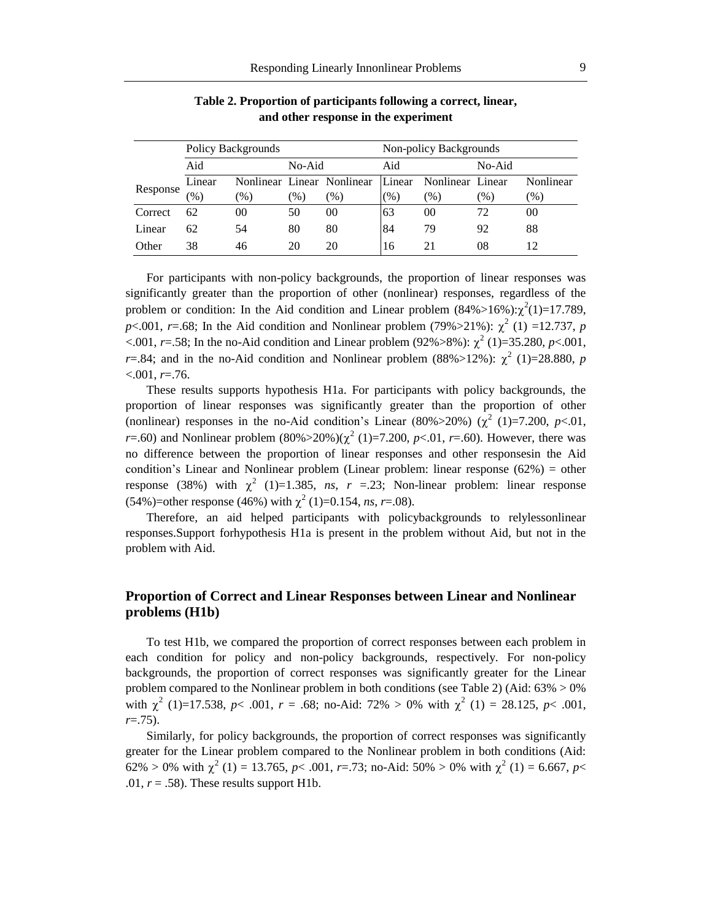|          | Policy Backgrounds |         |                 |                            | Non-policy Backgrounds |                  |        |               |
|----------|--------------------|---------|-----------------|----------------------------|------------------------|------------------|--------|---------------|
|          | Aid                |         | No-Aid          |                            | Aid                    |                  | No-Aid |               |
| Response | Linear             |         |                 | Nonlinear Linear Nonlinear | Linear                 | Nonlinear Linear |        | Nonlinear     |
|          | $\mathcal{O}(6)$   | $(\% )$ | $\mathcal{O}_0$ | $(\%)$                     | (% )                   | $(\%)$           | $(\%)$ | $\frac{9}{6}$ |
| Correct  | 62                 | 00      | 50              | 00                         | 63                     | 00               | 72     | 00            |
| Linear   | 62                 | 54      | 80              | 80                         | 84                     | 79               | 92     | 88            |
| Other    | 38                 | 46      | 20              | 20                         | 16                     | 21               | 08     |               |

**Table 2. Proportion of participants following a correct, linear, and other response in the experiment**

For participants with non-policy backgrounds, the proportion of linear responses was significantly greater than the proportion of other (nonlinear) responses, regardless of the problem or condition: In the Aid condition and Linear problem  $(84\%>16\%)$ : $\chi^2(1)=17.789$ , *p*<.001, *r*=.68; In the Aid condition and Nonlinear problem (79%>21%):  $\chi^2$  (1) =12.737, *p*  $\lt$ .001, *r*=.58; In the no-Aid condition and Linear problem (92%>8%):  $\chi^2$  (1)=35.280, *p*<.001, *r*=.84; and in the no-Aid condition and Nonlinear problem (88%>12%):  $\chi^2$  (1)=28.880, *p* <.001, *r*=.76.

These results supports hypothesis H1a. For participants with policy backgrounds, the proportion of linear responses was significantly greater than the proportion of other (nonlinear) responses in the no-Aid condition's Linear (80%>20%) ( $\chi^2$  (1)=7.200, *p*<.01, *r*=.60) and Nonlinear problem  $(80\% > 20\%)$  $(\chi^2(1) = 7.200, p < .01, r = .60)$ . However, there was no difference between the proportion of linear responses and other responsesin the Aid condition's Linear and Nonlinear problem (Linear problem: linear response  $(62%) =$  other response (38%) with  $\chi^2$  (1)=1.385, *ns*, *r* =.23; Non-linear problem: linear response  $(54\%)$ =other response (46%) with  $\chi^2$  (1)=0.154, *ns*, *r*=.08).

Therefore, an aid helped participants with policybackgrounds to relylessonlinear responses.Support forhypothesis H1a is present in the problem without Aid, but not in the problem with Aid.

# **Proportion of Correct and Linear Responses between Linear and Nonlinear problems (H1b)**

To test H1b, we compared the proportion of correct responses between each problem in each condition for policy and non-policy backgrounds, respectively. For non-policy backgrounds, the proportion of correct responses was significantly greater for the Linear problem compared to the Nonlinear problem in both conditions (see Table 2) (Aid:  $63\% > 0\%$ with  $\chi^2$  (1)=17.538, *p*< .001, *r* = .68; no-Aid: 72% > 0% with  $\chi^2$  (1) = 28.125, *p*< .001, *r*=.75).

Similarly, for policy backgrounds, the proportion of correct responses was significantly greater for the Linear problem compared to the Nonlinear problem in both conditions (Aid: 62% > 0% with  $\chi^2$  (1) = 13.765, *p*< .001, *r*=.73; no-Aid: 50% > 0% with  $\chi^2$  (1) = 6.667, *p*< .01,  $r = .58$ ). These results support H1b.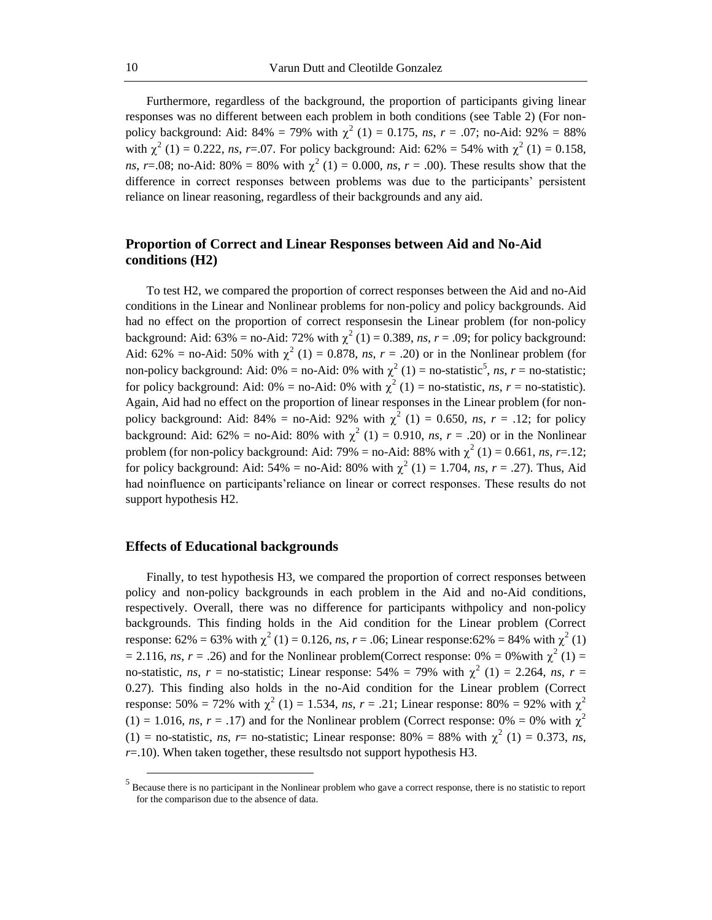Furthermore, regardless of the background, the proportion of participants giving linear responses was no different between each problem in both conditions (see Table 2) (For nonpolicy background: Aid:  $84\% = 79\%$  with  $\chi^2$  (1) = 0.175, *ns*, *r* = .07; no-Aid: 92% = 88% with  $\chi^2$  (1) = 0.222, *ns*, *r*=.07. For policy background: Aid: 62% = 54% with  $\chi^2$  (1) = 0.158, *ns*, *r*=.08; no-Aid: 80% = 80% with  $\chi^2$  (1) = 0.000, *ns*, *r* = .00). These results show that the difference in correct responses between problems was due to the participants' persistent reliance on linear reasoning, regardless of their backgrounds and any aid.

# **Proportion of Correct and Linear Responses between Aid and No-Aid conditions (H2)**

To test H2, we compared the proportion of correct responses between the Aid and no-Aid conditions in the Linear and Nonlinear problems for non-policy and policy backgrounds. Aid had no effect on the proportion of correct responsesin the Linear problem (for non-policy background: Aid:  $63\% = \text{no-Aid: } 72\%$  with  $\chi^2(1) = 0.389$ , *ns*,  $r = .09$ ; for policy background: Aid: 62% = no-Aid: 50% with  $\chi^2$  (1) = 0.878, *ns*, *r* = .20) or in the Nonlinear problem (for non-policy background: Aid:  $0\%$  = no-Aid:  $0\%$  with  $\chi^2(1)$  = no-statistic<sup>5</sup>, *ns*, *r* = no-statistic; for policy background: Aid:  $0\%$  = no-Aid:  $0\%$  with  $\chi^2$  (1) = no-statistic, *ns*, *r* = no-statistic). Again, Aid had no effect on the proportion of linear responses in the Linear problem (for nonpolicy background: Aid:  $84\% =$  no-Aid:  $92\%$  with  $\chi^2$  (1) = 0.650, *ns*, *r* = .12; for policy background: Aid: 62% = no-Aid: 80% with  $\chi^2$  (1) = 0.910, *ns*, *r* = .20) or in the Nonlinear problem (for non-policy background: Aid: 79% = no-Aid: 88% with  $\chi^2$  (1) = 0.661, *ns*, *r*=.12; for policy background: Aid: 54% = no-Aid: 80% with  $\chi^2$  (1) = 1.704, *ns*, *r* = .27). Thus, Aid had noinfluence on participants'reliance on linear or correct responses. These results do not support hypothesis H2.

#### **Effects of Educational backgrounds**

 $\overline{a}$ 

Finally, to test hypothesis H3, we compared the proportion of correct responses between policy and non-policy backgrounds in each problem in the Aid and no-Aid conditions, respectively. Overall, there was no difference for participants withpolicy and non-policy backgrounds. This finding holds in the Aid condition for the Linear problem (Correct response:  $62\% = 63\%$  with  $\chi^2(1) = 0.126$ , *ns*,  $r = .06$ ; Linear response:  $62\% = 84\%$  with  $\chi^2(1)$  $= 2.116$ , *ns*,  $r = .26$ ) and for the Nonlinear problem(Correct response: 0% = 0% with  $\chi^2$  (1) = no-statistic, *ns*, *r* = no-statistic; Linear response: 54% = 79% with  $\chi^2$  (1) = 2.264, *ns*, *r* = 0.27). This finding also holds in the no-Aid condition for the Linear problem (Correct response: 50% = 72% with  $\chi^2$  (1) = 1.534, *ns*, *r* = .21; Linear response: 80% = 92% with  $\chi^2$  $(1) = 1.016$ , *ns*,  $r = .17$ ) and for the Nonlinear problem (Correct response: 0% = 0% with  $\chi^2$ (1) = no-statistic, *ns*, *r*= no-statistic; Linear response: 80% = 88% with  $\chi^2$  (1) = 0.373, *ns*, *r*=.10). When taken together, these resultsdo not support hypothesis H3.

 $<sup>5</sup>$  Because there is no participant in the Nonlinear problem who gave a correct response, there is no statistic to report</sup> for the comparison due to the absence of data.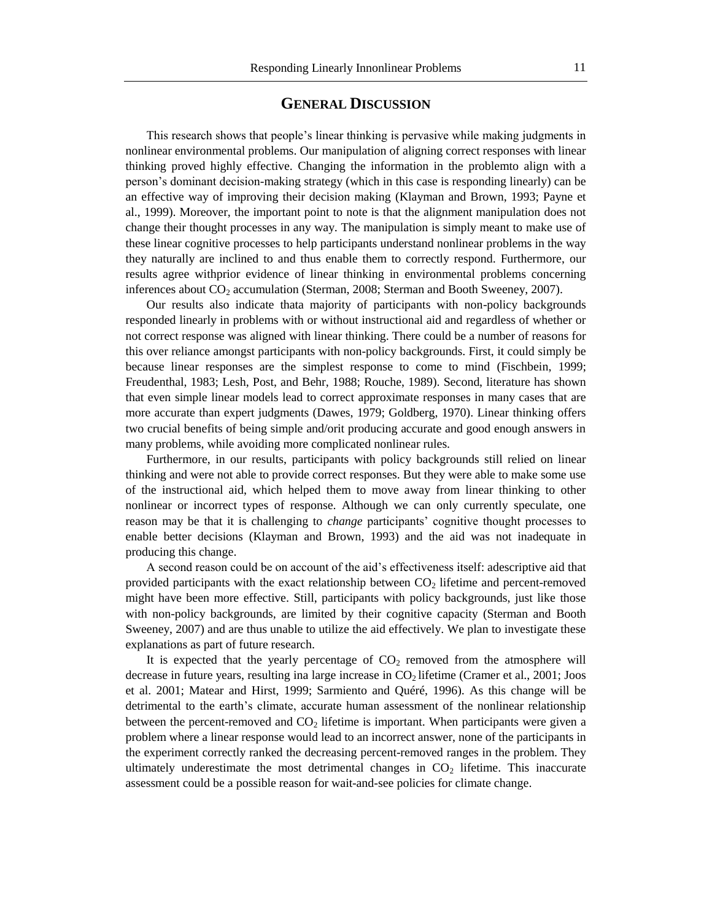# **GENERAL DISCUSSION**

This research shows that people's linear thinking is pervasive while making judgments in nonlinear environmental problems. Our manipulation of aligning correct responses with linear thinking proved highly effective. Changing the information in the problemto align with a person's dominant decision-making strategy (which in this case is responding linearly) can be an effective way of improving their decision making (Klayman and Brown, 1993; Payne et al., 1999). Moreover, the important point to note is that the alignment manipulation does not change their thought processes in any way. The manipulation is simply meant to make use of these linear cognitive processes to help participants understand nonlinear problems in the way they naturally are inclined to and thus enable them to correctly respond. Furthermore, our results agree withprior evidence of linear thinking in environmental problems concerning inferences about  $CO<sub>2</sub>$  accumulation (Sterman, 2008; Sterman and Booth Sweeney, 2007).

Our results also indicate thata majority of participants with non-policy backgrounds responded linearly in problems with or without instructional aid and regardless of whether or not correct response was aligned with linear thinking. There could be a number of reasons for this over reliance amongst participants with non-policy backgrounds. First, it could simply be because linear responses are the simplest response to come to mind (Fischbein, 1999; Freudenthal, 1983; Lesh, Post, and Behr, 1988; Rouche, 1989). Second, literature has shown that even simple linear models lead to correct approximate responses in many cases that are more accurate than expert judgments (Dawes, 1979; Goldberg, 1970). Linear thinking offers two crucial benefits of being simple and/orit producing accurate and good enough answers in many problems, while avoiding more complicated nonlinear rules.

Furthermore, in our results, participants with policy backgrounds still relied on linear thinking and were not able to provide correct responses. But they were able to make some use of the instructional aid, which helped them to move away from linear thinking to other nonlinear or incorrect types of response. Although we can only currently speculate, one reason may be that it is challenging to *change* participants' cognitive thought processes to enable better decisions (Klayman and Brown, 1993) and the aid was not inadequate in producing this change.

A second reason could be on account of the aid's effectiveness itself: adescriptive aid that provided participants with the exact relationship between  $CO<sub>2</sub>$  lifetime and percent-removed might have been more effective. Still, participants with policy backgrounds, just like those with non-policy backgrounds, are limited by their cognitive capacity (Sterman and Booth Sweeney, 2007) and are thus unable to utilize the aid effectively. We plan to investigate these explanations as part of future research.

It is expected that the yearly percentage of  $CO<sub>2</sub>$  removed from the atmosphere will decrease in future years, resulting ina large increase in  $CO<sub>2</sub>$  lifetime (Cramer et al., 2001; Joos et al. 2001; Matear and Hirst, 1999; Sarmiento and Quéré, 1996). As this change will be detrimental to the earth's climate, accurate human assessment of the nonlinear relationship between the percent-removed and  $CO<sub>2</sub>$  lifetime is important. When participants were given a problem where a linear response would lead to an incorrect answer, none of the participants in the experiment correctly ranked the decreasing percent-removed ranges in the problem. They ultimately underestimate the most detrimental changes in  $CO<sub>2</sub>$  lifetime. This inaccurate assessment could be a possible reason for wait-and-see policies for climate change.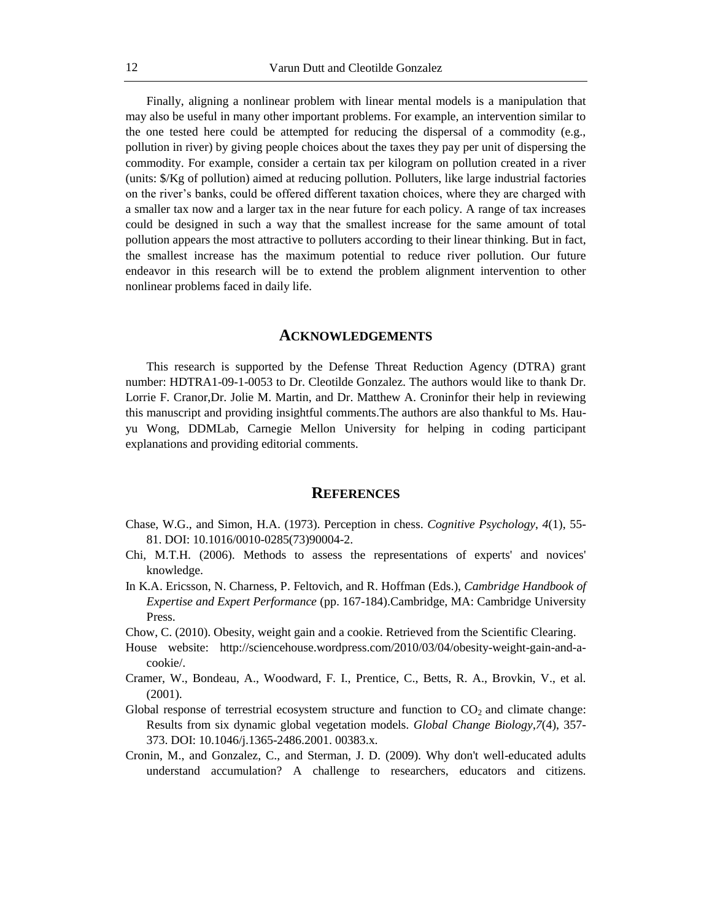Finally, aligning a nonlinear problem with linear mental models is a manipulation that may also be useful in many other important problems. For example, an intervention similar to the one tested here could be attempted for reducing the dispersal of a commodity (e.g., pollution in river) by giving people choices about the taxes they pay per unit of dispersing the commodity. For example, consider a certain tax per kilogram on pollution created in a river (units: \$/Kg of pollution) aimed at reducing pollution. Polluters, like large industrial factories on the river's banks, could be offered different taxation choices, where they are charged with a smaller tax now and a larger tax in the near future for each policy. A range of tax increases could be designed in such a way that the smallest increase for the same amount of total pollution appears the most attractive to polluters according to their linear thinking. But in fact, the smallest increase has the maximum potential to reduce river pollution. Our future endeavor in this research will be to extend the problem alignment intervention to other nonlinear problems faced in daily life.

#### **ACKNOWLEDGEMENTS**

This research is supported by the Defense Threat Reduction Agency (DTRA) grant number: HDTRA1-09-1-0053 to Dr. Cleotilde Gonzalez. The authors would like to thank Dr. Lorrie F. Cranor,Dr. Jolie M. Martin, and Dr. Matthew A. Croninfor their help in reviewing this manuscript and providing insightful comments.The authors are also thankful to Ms. Hauyu Wong, DDMLab, Carnegie Mellon University for helping in coding participant explanations and providing editorial comments.

#### **REFERENCES**

- Chase, W.G., and Simon, H.A. (1973). Perception in chess. *Cognitive Psychology*, *4*(1), 55- 81. DOI: 10.1016/0010-0285(73)90004-2.
- Chi, M.T.H. (2006). Methods to assess the representations of experts' and novices' knowledge.
- In K.A. Ericsson, N. Charness, P. Feltovich, and R. Hoffman (Eds.), *Cambridge Handbook of Expertise and Expert Performance* (pp. 167-184).Cambridge, MA: Cambridge University Press.
- Chow, C. (2010). Obesity, weight gain and a cookie. Retrieved from the Scientific Clearing.
- House website: http://sciencehouse.wordpress.com/2010/03/04/obesity-weight-gain-and-acookie/.
- Cramer, W., Bondeau, A., Woodward, F. I., Prentice, C., Betts, R. A., Brovkin, V., et al. (2001).
- Global response of terrestrial ecosystem structure and function to  $CO<sub>2</sub>$  and climate change: Results from six dynamic global vegetation models. *Global Change Biology*,*7*(4), 357- 373. DOI: 10.1046/j.1365-2486.2001. 00383.x.
- Cronin, M., and Gonzalez, C., and Sterman, J. D. (2009). Why don't well-educated adults understand accumulation? A challenge to researchers, educators and citizens.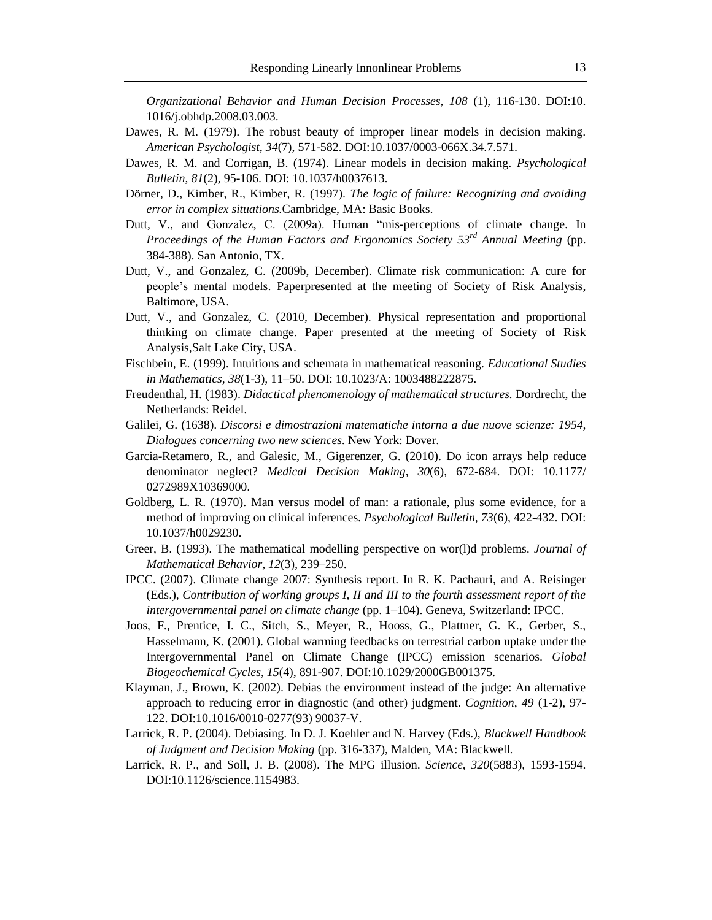*Organizational Behavior and Human Decision Processes, 108* (1), 116-130. DOI:10. 1016/j.obhdp.2008.03.003.

- Dawes, R. M. (1979). The robust beauty of improper linear models in decision making. *American Psychologist*, *34*(7), 571-582. DOI:10.1037/0003-066X.34.7.571.
- Dawes, R. M. and Corrigan, B. (1974). Linear models in decision making. *Psychological Bulletin*, *81*(2), 95-106. DOI: 10.1037/h0037613.
- Dörner, D., Kimber, R., Kimber, R. (1997). *The logic of failure: Recognizing and avoiding error in complex situations.*Cambridge, MA: Basic Books.
- Dutt, V., and Gonzalez, C. (2009a). Human "mis-perceptions of climate change. In *Proceedings of the Human Factors and Ergonomics Society 53rd Annual Meeting* (pp. 384-388). San Antonio, TX.
- Dutt, V., and Gonzalez, C. (2009b, December). Climate risk communication: A cure for people's mental models. Paperpresented at the meeting of Society of Risk Analysis, Baltimore, USA.
- Dutt, V., and Gonzalez, C. (2010, December). Physical representation and proportional thinking on climate change. Paper presented at the meeting of Society of Risk Analysis,Salt Lake City, USA.
- Fischbein, E. (1999). Intuitions and schemata in mathematical reasoning. *Educational Studies in Mathematics, 38*(1-3)*,* 11–50. DOI: 10.1023/A: 1003488222875.
- Freudenthal, H. (1983). *Didactical phenomenology of mathematical structures.* Dordrecht, the Netherlands: Reidel.
- Galilei, G. (1638). *Discorsi e dimostrazioni matematiche intorna a due nuove scienze: 1954, Dialogues concerning two new sciences*. New York: Dover.
- Garcia-Retamero, R., and Galesic, M., Gigerenzer, G. (2010). Do icon arrays help reduce denominator neglect? *Medical Decision Making*, *30*(6), 672-684. DOI: 10.1177/ 0272989X10369000.
- Goldberg, L. R. (1970). Man versus model of man: a rationale, plus some evidence, for a method of improving on clinical inferences. *Psychological Bulletin*, *73*(6), 422-432. DOI: 10.1037/h0029230.
- Greer, B. (1993). The mathematical modelling perspective on wor(l)d problems. *Journal of Mathematical Behavior, 12*(3)*,* 239–250.
- IPCC. (2007). Climate change 2007: Synthesis report. In R. K. Pachauri, and A. Reisinger (Eds.), *Contribution of working groups I, II and III to the fourth assessment report of the intergovernmental panel on climate change* (pp. 1–104). Geneva, Switzerland: IPCC.
- Joos, F., Prentice, I. C., Sitch, S., Meyer, R., Hooss, G., Plattner, G. K., Gerber, S., Hasselmann, K. (2001). Global warming feedbacks on terrestrial carbon uptake under the Intergovernmental Panel on Climate Change (IPCC) emission scenarios. *Global Biogeochemical Cycles*, *15*(4), 891-907. DOI:10.1029/2000GB001375.
- Klayman, J., Brown, K. (2002). Debias the environment instead of the judge: An alternative approach to reducing error in diagnostic (and other) judgment. *Cognition*, *49* (1-2), 97- 122. DOI:10.1016/0010-0277(93) 90037-V.
- Larrick, R. P. (2004). Debiasing. In D. J. Koehler and N. Harvey (Eds.), *Blackwell Handbook of Judgment and Decision Making* (pp. 316-337), Malden, MA: Blackwell*.*
- Larrick, R. P., and Soll, J. B. (2008). The MPG illusion. *Science*, *320*(5883), 1593-1594. DOI:10.1126/science.1154983.